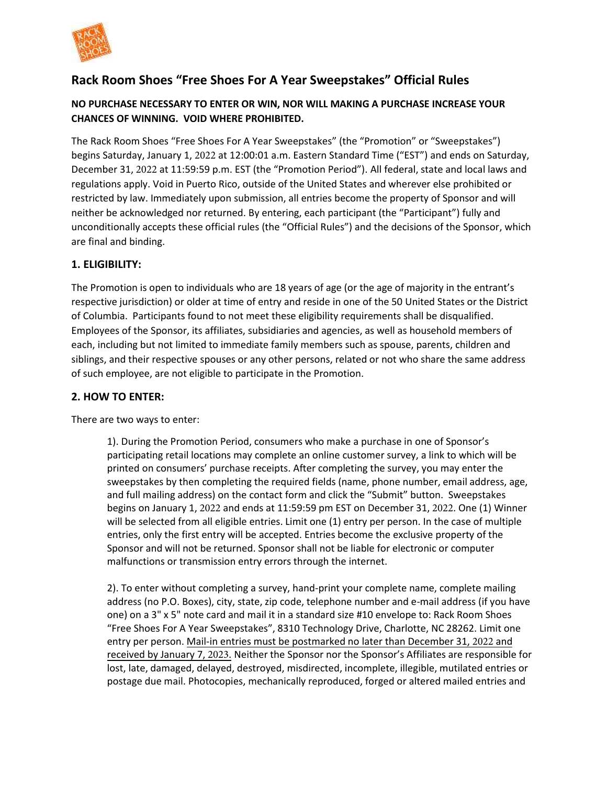

# **Rack Room Shoes "Free Shoes For A Year Sweepstakes" Official Rules**

#### **NO PURCHASE NECESSARY TO ENTER OR WIN, NOR WILL MAKING A PURCHASE INCREASE YOUR CHANCES OF WINNING. VOID WHERE PROHIBITED.**

The Rack Room Shoes "Free Shoes For A Year Sweepstakes" (the "Promotion" or "Sweepstakes") begins Saturday, January 1, 2022 at 12:00:01 a.m. Eastern Standard Time ("EST") and ends on Saturday, December 31, 2022 at 11:59:59 p.m. EST (the "Promotion Period"). All federal, state and local laws and regulations apply. Void in Puerto Rico, outside of the United States and wherever else prohibited or restricted by law. Immediately upon submission, all entries become the property of Sponsor and will neither be acknowledged nor returned. By entering, each participant (the "Participant") fully and unconditionally accepts these official rules (the "Official Rules") and the decisions of the Sponsor, which are final and binding.

### **1. ELIGIBILITY:**

The Promotion is open to individuals who are 18 years of age (or the age of majority in the entrant's respective jurisdiction) or older at time of entry and reside in one of the 50 United States or the District of Columbia. Participants found to not meet these eligibility requirements shall be disqualified. Employees of the Sponsor, its affiliates, subsidiaries and agencies, as well as household members of each, including but not limited to immediate family members such as spouse, parents, children and siblings, and their respective spouses or any other persons, related or not who share the same address of such employee, are not eligible to participate in the Promotion.

#### **2. HOW TO ENTER:**

There are two ways to enter:

1). During the Promotion Period, consumers who make a purchase in one of Sponsor's participating retail locations may complete an online customer survey, a link to which will be printed on consumers' purchase receipts. After completing the survey, you may enter the sweepstakes by then completing the required fields (name, phone number, email address, age, and full mailing address) on the contact form and click the "Submit" button. Sweepstakes begins on January 1, 2022 and ends at 11:59:59 pm EST on December 31, 2022. One (1) Winner will be selected from all eligible entries. Limit one (1) entry per person. In the case of multiple entries, only the first entry will be accepted. Entries become the exclusive property of the Sponsor and will not be returned. Sponsor shall not be liable for electronic or computer malfunctions or transmission entry errors through the internet.

2). To enter without completing a survey, hand-print your complete name, complete mailing address (no P.O. Boxes), city, state, zip code, telephone number and e-mail address (if you have one) on a 3" x 5" note card and mail it in a standard size #10 envelope to: Rack Room Shoes "Free Shoes For A Year Sweepstakes", 8310 Technology Drive, Charlotte, NC 28262. Limit one entry per person. Mail-in entries must be postmarked no later than December 31, 2022 and received by January 7, 2023. Neither the Sponsor nor the Sponsor's Affiliates are responsible for lost, late, damaged, delayed, destroyed, misdirected, incomplete, illegible, mutilated entries or postage due mail. Photocopies, mechanically reproduced, forged or altered mailed entries and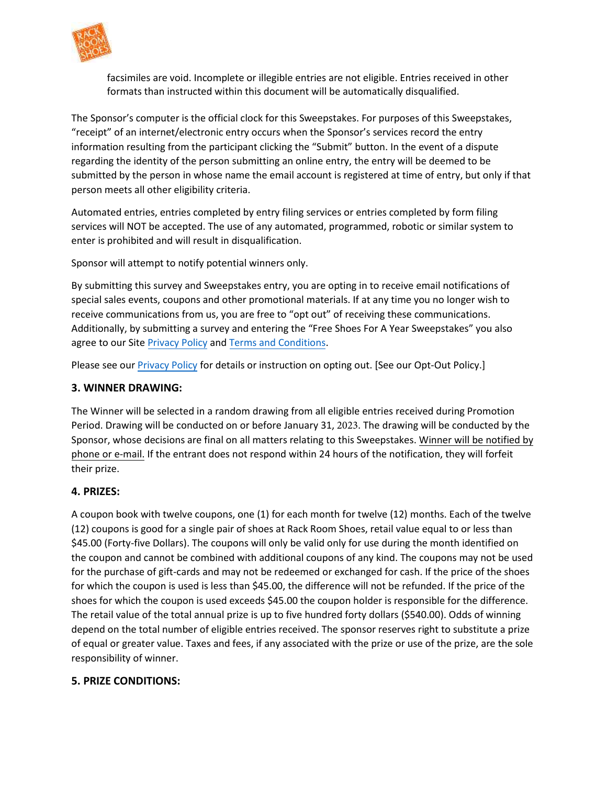

facsimiles are void. Incomplete or illegible entries are not eligible. Entries received in other formats than instructed within this document will be automatically disqualified.

The Sponsor's computer is the official clock for this Sweepstakes. For purposes of this Sweepstakes, "receipt" of an internet/electronic entry occurs when the Sponsor's services record the entry information resulting from the participant clicking the "Submit" button. In the event of a dispute regarding the identity of the person submitting an online entry, the entry will be deemed to be submitted by the person in whose name the email account is registered at time of entry, but only if that person meets all other eligibility criteria.

Automated entries, entries completed by entry filing services or entries completed by form filing services will NOT be accepted. The use of any automated, programmed, robotic or similar system to enter is prohibited and will result in disqualification.

Sponsor will attempt to notify potential winners only.

By submitting this survey and Sweepstakes entry, you are opting in to receive email notifications of special sales events, coupons and other promotional materials. If at any time you no longer wish to receive communications from us, you are free to "opt out" of receiving these communications. Additionally, by submitting a survey and entering the "Free Shoes For A Year Sweepstakes" you also agree to our Site [Privacy Policy](https://www.rackroomshoes.com/privacy) and [Terms and Conditions.](https://www.rackroomshoes.com/terms)

Please see our [Privacy Policy](https://www.rackroomshoes.com/privacy) for details or instruction on opting out. [See our Opt-Out Policy.]

### **3. WINNER DRAWING:**

The Winner will be selected in a random drawing from all eligible entries received during Promotion Period. Drawing will be conducted on or before January 31, 2023. The drawing will be conducted by the Sponsor, whose decisions are final on all matters relating to this Sweepstakes. Winner will be notified by phone or e-mail. If the entrant does not respond within 24 hours of the notification, they will forfeit their prize.

## **4. PRIZES:**

A coupon book with twelve coupons, one (1) for each month for twelve (12) months. Each of the twelve (12) coupons is good for a single pair of shoes at Rack Room Shoes, retail value equal to or less than \$45.00 (Forty-five Dollars). The coupons will only be valid only for use during the month identified on the coupon and cannot be combined with additional coupons of any kind. The coupons may not be used for the purchase of gift-cards and may not be redeemed or exchanged for cash. If the price of the shoes for which the coupon is used is less than \$45.00, the difference will not be refunded. If the price of the shoes for which the coupon is used exceeds \$45.00 the coupon holder is responsible for the difference. The retail value of the total annual prize is up to five hundred forty dollars (\$540.00). Odds of winning depend on the total number of eligible entries received. The sponsor reserves right to substitute a prize of equal or greater value. Taxes and fees, if any associated with the prize or use of the prize, are the sole responsibility of winner.

## **5. PRIZE CONDITIONS:**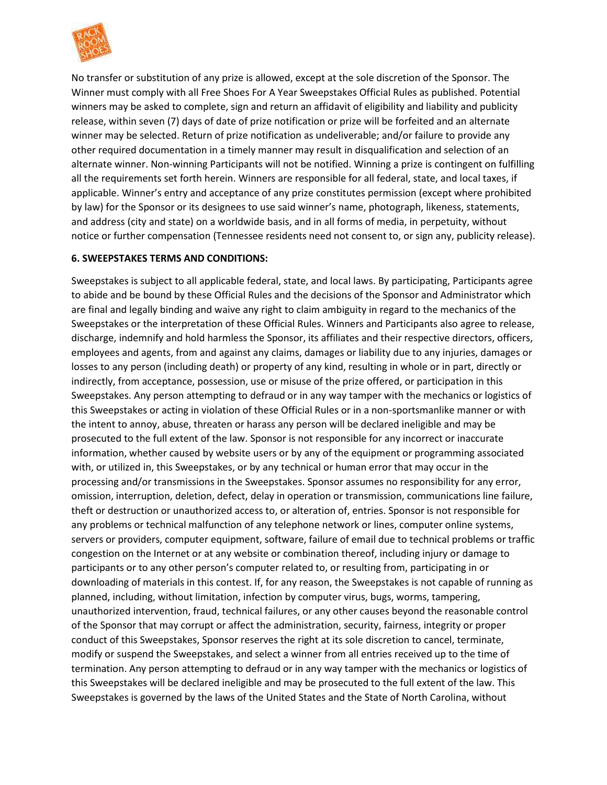

No transfer or substitution of any prize is allowed, except at the sole discretion of the Sponsor. The Winner must comply with all Free Shoes For A Year Sweepstakes Official Rules as published. Potential winners may be asked to complete, sign and return an affidavit of eligibility and liability and publicity release, within seven (7) days of date of prize notification or prize will be forfeited and an alternate winner may be selected. Return of prize notification as undeliverable; and/or failure to provide any other required documentation in a timely manner may result in disqualification and selection of an alternate winner. Non-winning Participants will not be notified. Winning a prize is contingent on fulfilling all the requirements set forth herein. Winners are responsible for all federal, state, and local taxes, if applicable. Winner's entry and acceptance of any prize constitutes permission (except where prohibited by law) for the Sponsor or its designees to use said winner's name, photograph, likeness, statements, and address (city and state) on a worldwide basis, and in all forms of media, in perpetuity, without notice or further compensation (Tennessee residents need not consent to, or sign any, publicity release).

#### **6. SWEEPSTAKES TERMS AND CONDITIONS:**

Sweepstakes is subject to all applicable federal, state, and local laws. By participating, Participants agree to abide and be bound by these Official Rules and the decisions of the Sponsor and Administrator which are final and legally binding and waive any right to claim ambiguity in regard to the mechanics of the Sweepstakes or the interpretation of these Official Rules. Winners and Participants also agree to release, discharge, indemnify and hold harmless the Sponsor, its affiliates and their respective directors, officers, employees and agents, from and against any claims, damages or liability due to any injuries, damages or losses to any person (including death) or property of any kind, resulting in whole or in part, directly or indirectly, from acceptance, possession, use or misuse of the prize offered, or participation in this Sweepstakes. Any person attempting to defraud or in any way tamper with the mechanics or logistics of this Sweepstakes or acting in violation of these Official Rules or in a non-sportsmanlike manner or with the intent to annoy, abuse, threaten or harass any person will be declared ineligible and may be prosecuted to the full extent of the law. Sponsor is not responsible for any incorrect or inaccurate information, whether caused by website users or by any of the equipment or programming associated with, or utilized in, this Sweepstakes, or by any technical or human error that may occur in the processing and/or transmissions in the Sweepstakes. Sponsor assumes no responsibility for any error, omission, interruption, deletion, defect, delay in operation or transmission, communications line failure, theft or destruction or unauthorized access to, or alteration of, entries. Sponsor is not responsible for any problems or technical malfunction of any telephone network or lines, computer online systems, servers or providers, computer equipment, software, failure of email due to technical problems or traffic congestion on the Internet or at any website or combination thereof, including injury or damage to participants or to any other person's computer related to, or resulting from, participating in or downloading of materials in this contest. If, for any reason, the Sweepstakes is not capable of running as planned, including, without limitation, infection by computer virus, bugs, worms, tampering, unauthorized intervention, fraud, technical failures, or any other causes beyond the reasonable control of the Sponsor that may corrupt or affect the administration, security, fairness, integrity or proper conduct of this Sweepstakes, Sponsor reserves the right at its sole discretion to cancel, terminate, modify or suspend the Sweepstakes, and select a winner from all entries received up to the time of termination. Any person attempting to defraud or in any way tamper with the mechanics or logistics of this Sweepstakes will be declared ineligible and may be prosecuted to the full extent of the law. This Sweepstakes is governed by the laws of the United States and the State of North Carolina, without